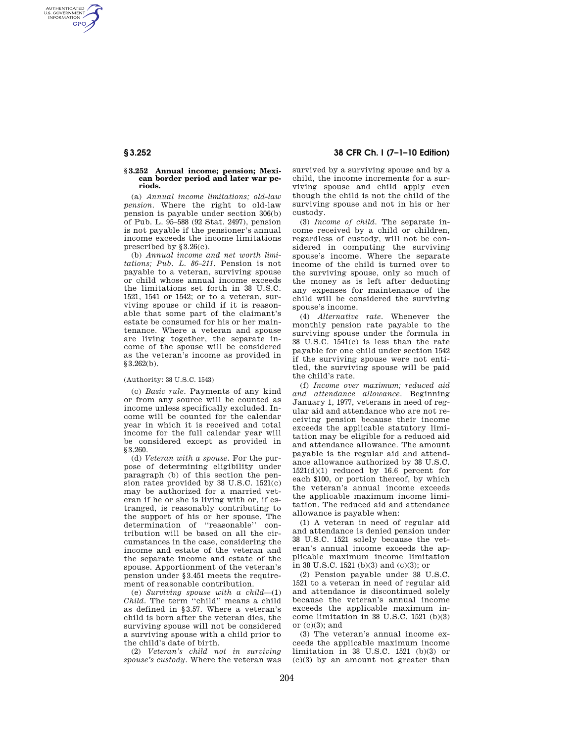AUTHENTICATED<br>U.S. GOVERNMENT<br>INFORMATION **GPO** 

## **§ 3.252 Annual income; pension; Mexican border period and later war periods.**

(a) *Annual income limitations; old-law pension.* Where the right to old-law pension is payable under section 306(b) of Pub. L. 95–588 (92 Stat. 2497), pension is not payable if the pensioner's annual income exceeds the income limitations prescribed by §3.26(c).

(b) *Annual income and net worth limitations; Pub. L. 86–211.* Pension is not payable to a veteran, surviving spouse or child whose annual income exceeds the limitations set forth in 38 U.S.C. 1521, 1541 or 1542; or to a veteran, surviving spouse or child if it is reasonable that some part of the claimant's estate be consumed for his or her maintenance. Where a veteran and spouse are living together, the separate income of the spouse will be considered as the veteran's income as provided in §3.262(b).

## (Authority: 38 U.S.C. 1543)

(c) *Basic rule.* Payments of any kind or from any source will be counted as income unless specifically excluded. Income will be counted for the calendar year in which it is received and total income for the full calendar year will be considered except as provided in §3.260.

(d) *Veteran with a spouse.* For the purpose of determining eligibility under paragraph (b) of this section the pension rates provided by 38 U.S.C. 1521(c) may be authorized for a married veteran if he or she is living with or, if estranged, is reasonably contributing to the support of his or her spouse. The determination of ''reasonable'' contribution will be based on all the circumstances in the case, considering the income and estate of the veteran and the separate income and estate of the spouse. Apportionment of the veteran's pension under §3.451 meets the requirement of reasonable contribution.

(e) *Surviving spouse with a child*—(1) *Child.* The term ''child'' means a child as defined in §3.57. Where a veteran's child is born after the veteran dies, the surviving spouse will not be considered a surviving spouse with a child prior to the child's date of birth.

(2) *Veteran's child not in surviving spouse's custody.* Where the veteran was

# **§ 3.252 38 CFR Ch. I (7–1–10 Edition)**

survived by a surviving spouse and by a child, the income increments for a surviving spouse and child apply even though the child is not the child of the surviving spouse and not in his or her custody.

(3) *Income of child.* The separate income received by a child or children, regardless of custody, will not be considered in computing the surviving spouse's income. Where the separate income of the child is turned over to the surviving spouse, only so much of the money as is left after deducting any expenses for maintenance of the child will be considered the surviving spouse's income.

(4) *Alternative rate.* Whenever the monthly pension rate payable to the surviving spouse under the formula in 38 U.S.C. 1541(c) is less than the rate payable for one child under section 1542 if the surviving spouse were not entitled, the surviving spouse will be paid the child's rate.

(f) *Income over maximum; reduced aid and attendance allowance.* Beginning January 1, 1977, veterans in need of regular aid and attendance who are not receiving pension because their income exceeds the applicable statutory limitation may be eligible for a reduced aid and attendance allowance. The amount payable is the regular aid and attendance allowance authorized by 38 U.S.C. 1521(d)(1) reduced by 16.6 percent for each \$100, or portion thereof, by which the veteran's annual income exceeds the applicable maximum income limitation. The reduced aid and attendance allowance is payable when:

(1) A veteran in need of regular aid and attendance is denied pension under 38 U.S.C. 1521 solely because the veteran's annual income exceeds the applicable maximum income limitation in 38 U.S.C. 1521 (b)(3) and (c)(3); or

(2) Pension payable under 38 U.S.C. 1521 to a veteran in need of regular aid and attendance is discontinued solely because the veteran's annual income exceeds the applicable maximum income limitation in 38 U.S.C. 1521 (b)(3) or  $(c)(3)$ ; and

(3) The veteran's annual income exceeds the applicable maximum income limitation in 38 U.S.C. 1521 (b)(3) or (c)(3) by an amount not greater than